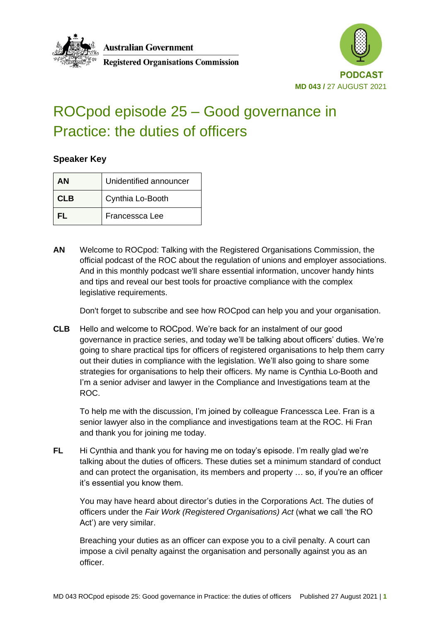**Australian Government** 



### **Registered Organisations Commission**

# ROCpod episode 25 – Good governance in Practice: the duties of officers

#### **Speaker Key**

| AΝ         | Unidentified announcer |
|------------|------------------------|
| <b>CLB</b> | Cynthia Lo-Booth       |
| FL.        | Francessca Lee         |

**AN** Welcome to ROCpod: Talking with the Registered Organisations Commission, the official podcast of the ROC about the regulation of unions and employer associations. And in this monthly podcast we'll share essential information, uncover handy hints and tips and reveal our best tools for proactive compliance with the complex legislative requirements.

Don't forget to subscribe and see how ROCpod can help you and your organisation.

**CLB** Hello and welcome to ROCpod. We're back for an instalment of our good governance in practice series, and today we'll be talking about officers' duties. We're going to share practical tips for officers of registered organisations to help them carry out their duties in compliance with the legislation. We'll also going to share some strategies for organisations to help their officers. My name is Cynthia Lo-Booth and I'm a senior adviser and lawyer in the Compliance and Investigations team at the ROC.

To help me with the discussion, I'm joined by colleague Francessca Lee. Fran is a senior lawyer also in the compliance and investigations team at the ROC. Hi Fran and thank you for joining me today.

**FL** Hi Cynthia and thank you for having me on today's episode. I'm really glad we're talking about the duties of officers. These duties set a minimum standard of conduct and can protect the organisation, its members and property … so, if you're an officer it's essential you know them.

You may have heard about director's duties in the Corporations Act. The duties of officers under the *Fair Work (Registered Organisations) Act* (what we call 'the RO Act') are very similar.

Breaching your duties as an officer can expose you to a civil penalty. A court can impose a civil penalty against the organisation and personally against you as an officer.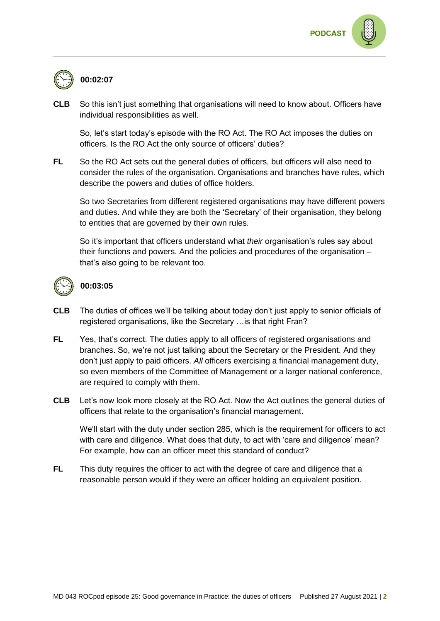



**CLB** So this isn't just something that organisations will need to know about. Officers have individual responsibilities as well.

So, let's start today's episode with the RO Act. The RO Act imposes the duties on officers. Is the RO Act the only source of officers' duties?

**FL** So the RO Act sets out the general duties of officers, but officers will also need to consider the rules of the organisation. Organisations and branches have rules, which describe the powers and duties of office holders.

So two Secretaries from different registered organisations may have different powers and duties. And while they are both the 'Secretary' of their organisation, they belong to entities that are governed by their own rules.

So it's important that officers understand what *their* organisation's rules say about their functions and powers. And the policies and procedures of the organisation – that's also going to be relevant too.



#### **00:03:05**

- **CLB** The duties of offices we'll be talking about today don't just apply to senior officials of registered organisations, like the Secretary …is that right Fran?
- **FL** Yes, that's correct. The duties apply to all officers of registered organisations and branches. So, we're not just talking about the Secretary or the President. And they don't just apply to paid officers. *All* officers exercising a financial management duty, so even members of the Committee of Management or a larger national conference, are required to comply with them.
- **CLB** Let's now look more closely at the RO Act. Now the Act outlines the general duties of officers that relate to the organisation's financial management.

We'll start with the duty under section 285, which is the requirement for officers to act with care and diligence. What does that duty, to act with 'care and diligence' mean? For example, how can an officer meet this standard of conduct?

**FL** This duty requires the officer to act with the degree of care and diligence that a reasonable person would if they were an officer holding an equivalent position.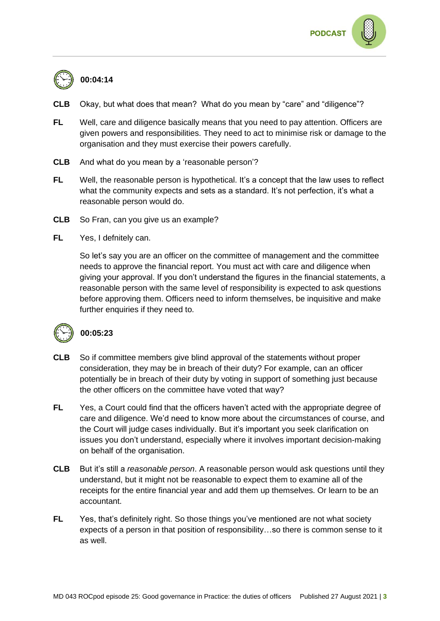

# **00:04:14**

- **CLB** Okay, but what does that mean? What do you mean by "care" and "diligence"?
- **FL** Well, care and diligence basically means that you need to pay attention. Officers are given powers and responsibilities. They need to act to minimise risk or damage to the organisation and they must exercise their powers carefully.
- **CLB** And what do you mean by a 'reasonable person'?
- **FL** Well, the reasonable person is hypothetical. It's a concept that the law uses to reflect what the community expects and sets as a standard. It's not perfection, it's what a reasonable person would do.
- **CLB** So Fran, can you give us an example?
- **FL** Yes, I defnitely can.

So let's say you are an officer on the committee of management and the committee needs to approve the financial report. You must act with care and diligence when giving your approval. If you don't understand the figures in the financial statements, a reasonable person with the same level of responsibility is expected to ask questions before approving them. Officers need to inform themselves, be inquisitive and make further enquiries if they need to.



### **00:05:23**

- **CLB** So if committee members give blind approval of the statements without proper consideration, they may be in breach of their duty? For example, can an officer potentially be in breach of their duty by voting in support of something just because the other officers on the committee have voted that way?
- **FL** Yes, a Court could find that the officers haven't acted with the appropriate degree of care and diligence. We'd need to know more about the circumstances of course, and the Court will judge cases individually. But it's important you seek clarification on issues you don't understand, especially where it involves important decision-making on behalf of the organisation.
- **CLB** But it's still a *reasonable person*. A reasonable person would ask questions until they understand, but it might not be reasonable to expect them to examine all of the receipts for the entire financial year and add them up themselves. Or learn to be an accountant.
- **FL** Yes, that's definitely right. So those things you've mentioned are not what society expects of a person in that position of responsibility…so there is common sense to it as well.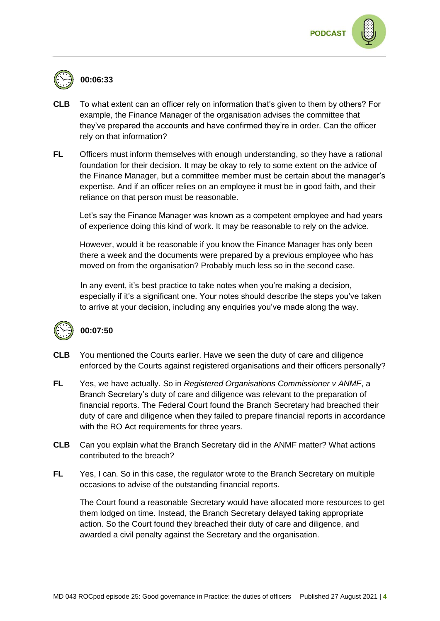

## **00:06:33**

- **CLB** To what extent can an officer rely on information that's given to them by others? For example, the Finance Manager of the organisation advises the committee that they've prepared the accounts and have confirmed they're in order. Can the officer rely on that information?
- **FL** Officers must inform themselves with enough understanding, so they have a rational foundation for their decision. It may be okay to rely to some extent on the advice of the Finance Manager, but a committee member must be certain about the manager's expertise. And if an officer relies on an employee it must be in good faith, and their reliance on that person must be reasonable.

Let's say the Finance Manager was known as a competent employee and had years of experience doing this kind of work. It may be reasonable to rely on the advice.

However, would it be reasonable if you know the Finance Manager has only been there a week and the documents were prepared by a previous employee who has moved on from the organisation? Probably much less so in the second case.

In any event, it's best practice to take notes when you're making a decision, especially if it's a significant one. Your notes should describe the steps you've taken to arrive at your decision, including any enquiries you've made along the way.



### **00:07:50**

- **CLB** You mentioned the Courts earlier. Have we seen the duty of care and diligence enforced by the Courts against registered organisations and their officers personally?
- **FL** Yes, we have actually. So in *Registered Organisations Commissioner v ANMF*, a Branch Secretary's duty of care and diligence was relevant to the preparation of financial reports. The Federal Court found the Branch Secretary had breached their duty of care and diligence when they failed to prepare financial reports in accordance with the RO Act requirements for three years.
- **CLB** Can you explain what the Branch Secretary did in the ANMF matter? What actions contributed to the breach?
- **FL** Yes, I can. So in this case, the regulator wrote to the Branch Secretary on multiple occasions to advise of the outstanding financial reports.

The Court found a reasonable Secretary would have allocated more resources to get them lodged on time. Instead, the Branch Secretary delayed taking appropriate action. So the Court found they breached their duty of care and diligence, and awarded a civil penalty against the Secretary and the organisation.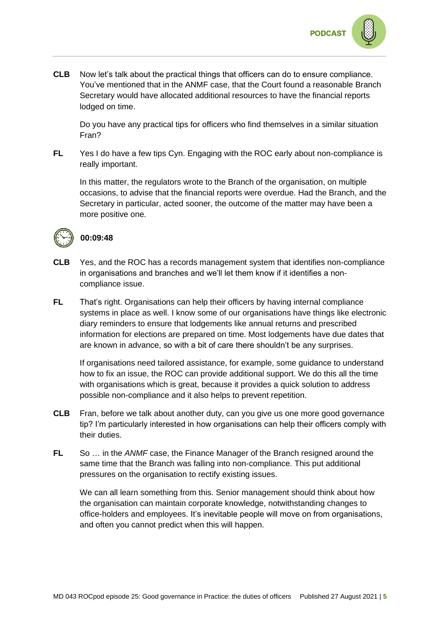

**CLB** Now let's talk about the practical things that officers can do to ensure compliance. You've mentioned that in the ANMF case, that the Court found a reasonable Branch Secretary would have allocated additional resources to have the financial reports lodged on time.

Do you have any practical tips for officers who find themselves in a similar situation Fran?

**FL** Yes I do have a few tips Cyn. Engaging with the ROC early about non-compliance is really important.

In this matter, the regulators wrote to the Branch of the organisation, on multiple occasions, to advise that the financial reports were overdue. Had the Branch, and the Secretary in particular, acted sooner, the outcome of the matter may have been a more positive one.



### **00:09:48**

- **CLB** Yes, and the ROC has a records management system that identifies non-compliance in organisations and branches and we'll let them know if it identifies a noncompliance issue.
- **FL** That's right. Organisations can help their officers by having internal compliance systems in place as well. I know some of our organisations have things like electronic diary reminders to ensure that lodgements like annual returns and prescribed information for elections are prepared on time. Most lodgements have due dates that are known in advance, so with a bit of care there shouldn't be any surprises.

If organisations need tailored assistance, for example, some guidance to understand how to fix an issue, the ROC can provide additional support. We do this all the time with organisations which is great, because it provides a quick solution to address possible non-compliance and it also helps to prevent repetition.

- **CLB** Fran, before we talk about another duty, can you give us one more good governance tip? I'm particularly interested in how organisations can help their officers comply with their duties.
- **FL** So … in the *ANMF* case, the Finance Manager of the Branch resigned around the same time that the Branch was falling into non-compliance. This put additional pressures on the organisation to rectify existing issues.

We can all learn something from this. Senior management should think about how the organisation can maintain corporate knowledge, notwithstanding changes to office-holders and employees. It's inevitable people will move on from organisations, and often you cannot predict when this will happen.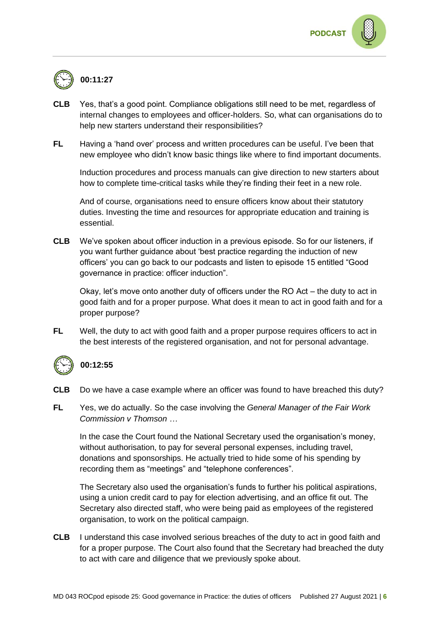

- **CLB** Yes, that's a good point. Compliance obligations still need to be met, regardless of internal changes to employees and officer-holders. So, what can organisations do to help new starters understand their responsibilities?
- **FL** Having a 'hand over' process and written procedures can be useful. I've been that new employee who didn't know basic things like where to find important documents.

Induction procedures and process manuals can give direction to new starters about how to complete time-critical tasks while they're finding their feet in a new role.

And of course, organisations need to ensure officers know about their statutory duties. Investing the time and resources for appropriate education and training is essential.

**CLB** We've spoken about officer induction in a previous episode. So for our listeners, if you want further guidance about 'best practice regarding the induction of new officers' you can go back to our podcasts and listen to episode 15 entitled "Good governance in practice: officer induction".

Okay, let's move onto another duty of officers under the RO Act – the duty to act in good faith and for a proper purpose. What does it mean to act in good faith and for a proper purpose?

**FL** Well, the duty to act with good faith and a proper purpose requires officers to act in the best interests of the registered organisation, and not for personal advantage.



#### **00:12:55**

- **CLB** Do we have a case example where an officer was found to have breached this duty?
- **FL** Yes, we do actually. So the case involving the *General Manager of the Fair Work Commission v Thomson …*

In the case the Court found the National Secretary used the organisation's money, without authorisation, to pay for several personal expenses, including travel, donations and sponsorships. He actually tried to hide some of his spending by recording them as "meetings" and "telephone conferences".

The Secretary also used the organisation's funds to further his political aspirations, using a union credit card to pay for election advertising, and an office fit out. The Secretary also directed staff, who were being paid as employees of the registered organisation, to work on the political campaign.

**CLB** I understand this case involved serious breaches of the duty to act in good faith and for a proper purpose. The Court also found that the Secretary had breached the duty to act with care and diligence that we previously spoke about.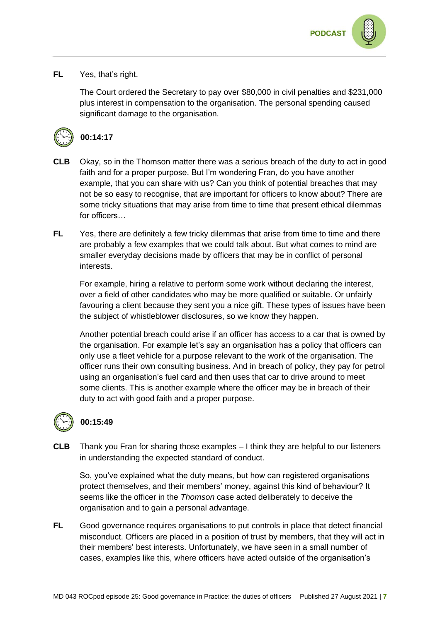

#### **FL** Yes, that's right.

The Court ordered the Secretary to pay over \$80,000 in civil penalties and \$231,000 plus interest in compensation to the organisation. The personal spending caused significant damage to the organisation.



### **00:14:17**

- **CLB** Okay, so in the Thomson matter there was a serious breach of the duty to act in good faith and for a proper purpose. But I'm wondering Fran, do you have another example, that you can share with us? Can you think of potential breaches that may not be so easy to recognise, that are important for officers to know about? There are some tricky situations that may arise from time to time that present ethical dilemmas for officers…
- **FL** Yes, there are definitely a few tricky dilemmas that arise from time to time and there are probably a few examples that we could talk about. But what comes to mind are smaller everyday decisions made by officers that may be in conflict of personal interests.

For example, hiring a relative to perform some work without declaring the interest, over a field of other candidates who may be more qualified or suitable. Or unfairly favouring a client because they sent you a nice gift. These types of issues have been the subject of whistleblower disclosures, so we know they happen.

Another potential breach could arise if an officer has access to a car that is owned by the organisation. For example let's say an organisation has a policy that officers can only use a fleet vehicle for a purpose relevant to the work of the organisation. The officer runs their own consulting business. And in breach of policy, they pay for petrol using an organisation's fuel card and then uses that car to drive around to meet some clients. This is another example where the officer may be in breach of their duty to act with good faith and a proper purpose.

# **00:15:49**

**CLB** Thank you Fran for sharing those examples – I think they are helpful to our listeners in understanding the expected standard of conduct.

So, you've explained what the duty means, but how can registered organisations protect themselves, and their members' money, against this kind of behaviour? It seems like the officer in the *Thomson* case acted deliberately to deceive the organisation and to gain a personal advantage.

**FL** Good governance requires organisations to put controls in place that detect financial misconduct. Officers are placed in a position of trust by members, that they will act in their members' best interests. Unfortunately, we have seen in a small number of cases, examples like this, where officers have acted outside of the organisation's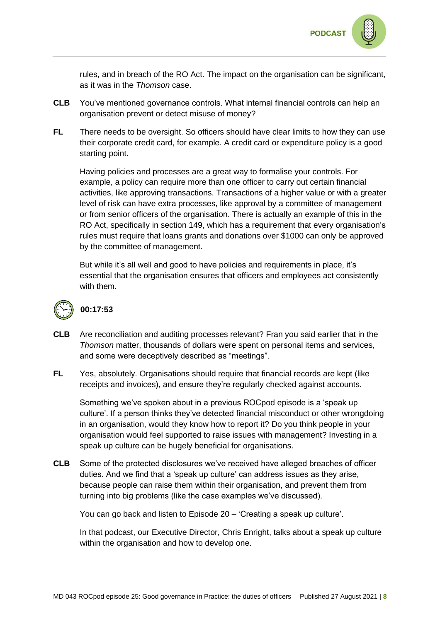

rules, and in breach of the RO Act. The impact on the organisation can be significant, as it was in the *Thomson* case.

- **CLB** You've mentioned governance controls. What internal financial controls can help an organisation prevent or detect misuse of money?
- **FL** There needs to be oversight. So officers should have clear limits to how they can use their corporate credit card, for example. A credit card or expenditure policy is a good starting point.

Having policies and processes are a great way to formalise your controls. For example, a policy can require more than one officer to carry out certain financial activities, like approving transactions. Transactions of a higher value or with a greater level of risk can have extra processes, like approval by a committee of management or from senior officers of the organisation. There is actually an example of this in the RO Act, specifically in section 149, which has a requirement that every organisation's rules must require that loans grants and donations over \$1000 can only be approved by the committee of management.

But while it's all well and good to have policies and requirements in place, it's essential that the organisation ensures that officers and employees act consistently with them.



## **00:17:53**

- **CLB** Are reconciliation and auditing processes relevant? Fran you said earlier that in the *Thomson* matter, thousands of dollars were spent on personal items and services, and some were deceptively described as "meetings".
- **FL** Yes, absolutely. Organisations should require that financial records are kept (like receipts and invoices), and ensure they're regularly checked against accounts.

Something we've spoken about in a previous ROCpod episode is a 'speak up culture'. If a person thinks they've detected financial misconduct or other wrongdoing in an organisation, would they know how to report it? Do you think people in your organisation would feel supported to raise issues with management? Investing in a speak up culture can be hugely beneficial for organisations.

**CLB** Some of the protected disclosures we've received have alleged breaches of officer duties. And we find that a 'speak up culture' can address issues as they arise, because people can raise them within their organisation, and prevent them from turning into big problems (like the case examples we've discussed).

You can go back and listen to Episode 20 – 'Creating a speak up culture'.

In that podcast, our Executive Director, Chris Enright, talks about a speak up culture within the organisation and how to develop one.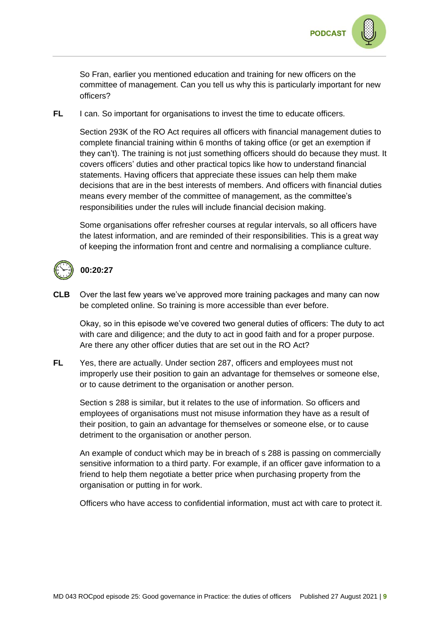

So Fran, earlier you mentioned education and training for new officers on the committee of management. Can you tell us why this is particularly important for new officers?

**FL** I can. So important for organisations to invest the time to educate officers.

Section 293K of the RO Act requires all officers with financial management duties to complete financial training within 6 months of taking office (or get an exemption if they can't). The training is not just something officers should do because they must. It covers officers' duties and other practical topics like how to understand financial statements. Having officers that appreciate these issues can help them make decisions that are in the best interests of members. And officers with financial duties means every member of the committee of management, as the committee's responsibilities under the rules will include financial decision making.

Some organisations offer refresher courses at regular intervals, so all officers have the latest information, and are reminded of their responsibilities. This is a great way of keeping the information front and centre and normalising a compliance culture.



### **00:20:27**

**CLB** Over the last few years we've approved more training packages and many can now be completed online. So training is more accessible than ever before.

Okay, so in this episode we've covered two general duties of officers: The duty to act with care and diligence; and the duty to act in good faith and for a proper purpose. Are there any other officer duties that are set out in the RO Act?

**FL** Yes, there are actually. Under section 287, officers and employees must not improperly use their position to gain an advantage for themselves or someone else, or to cause detriment to the organisation or another person.

Section s 288 is similar, but it relates to the use of information. So officers and employees of organisations must not misuse information they have as a result of their position, to gain an advantage for themselves or someone else, or to cause detriment to the organisation or another person.

An example of conduct which may be in breach of s 288 is passing on commercially sensitive information to a third party. For example, if an officer gave information to a friend to help them negotiate a better price when purchasing property from the organisation or putting in for work.

Officers who have access to confidential information, must act with care to protect it.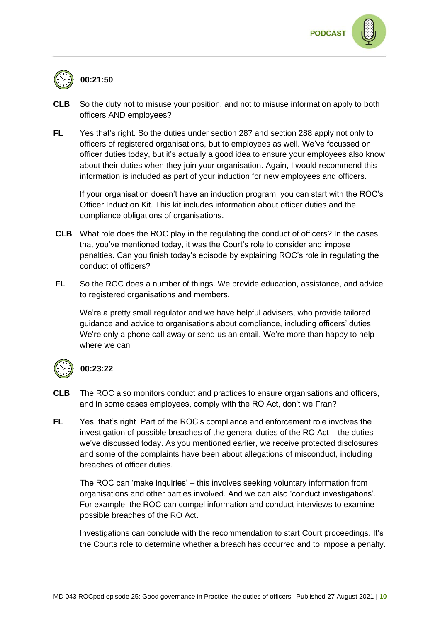

# **00:21:50**

- **CLB** So the duty not to misuse your position, and not to misuse information apply to both officers AND employees?
- **FL** Yes that's right. So the duties under section 287 and section 288 apply not only to officers of registered organisations, but to employees as well. We've focussed on officer duties today, but it's actually a good idea to ensure your employees also know about their duties when they join your organisation. Again, I would recommend this information is included as part of your induction for new employees and officers.

If your organisation doesn't have an induction program, you can start with the ROC's Officer Induction Kit. This kit includes information about officer duties and the compliance obligations of organisations.

- **CLB** What role does the ROC play in the regulating the conduct of officers? In the cases that you've mentioned today, it was the Court's role to consider and impose penalties. Can you finish today's episode by explaining ROC's role in regulating the conduct of officers?
- **FL** So the ROC does a number of things. We provide education, assistance, and advice to registered organisations and members.

We're a pretty small regulator and we have helpful advisers, who provide tailored guidance and advice to organisations about compliance, including officers' duties. We're only a phone call away or send us an email. We're more than happy to help where we can.



### **00:23:22**

- **CLB** The ROC also monitors conduct and practices to ensure organisations and officers, and in some cases employees, comply with the RO Act, don't we Fran?
- **FL** Yes, that's right. Part of the ROC's compliance and enforcement role involves the investigation of possible breaches of the general duties of the RO Act – the duties we've discussed today. As you mentioned earlier, we receive protected disclosures and some of the complaints have been about allegations of misconduct, including breaches of officer duties.

The ROC can 'make inquiries' – this involves seeking voluntary information from organisations and other parties involved. And we can also 'conduct investigations'. For example, the ROC can compel information and conduct interviews to examine possible breaches of the RO Act.

Investigations can conclude with the recommendation to start Court proceedings. It's the Courts role to determine whether a breach has occurred and to impose a penalty.